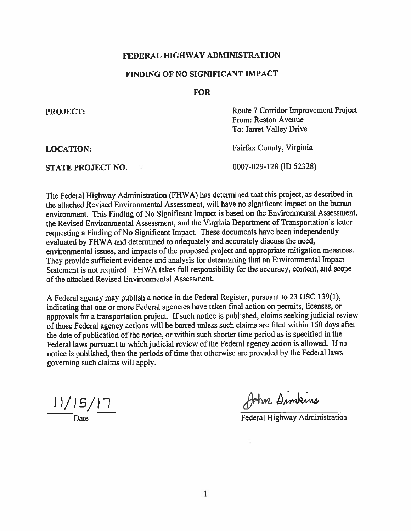### FEDERAL HIGHWAY ADMINISTRATION

## FINDING OF NO SIGNIFICANT IMPACT

#### **FOR**

| Route 7 Corridor Improvement Project<br>From: Reston Avenue<br>To: Jarret Valley Drive |
|----------------------------------------------------------------------------------------|
| Fairfax County, Virginia                                                               |
| 0007-029-128 (ID 52328)                                                                |
|                                                                                        |

The Federal Highway Administration (FHWA) has determined that this project, as described in the attached Revised Environmental Assessment, will have no significant impact on the human environment. This Finding of No Significant Impact is based on the Environmental Assessment, the Revised Environmental Assessment, and the Virginia Department of Transportation's letter requesting a Finding of No Significant Impact. These documents have been independently evaluated by FHWA and determined to adequately and accurately discuss the need, environmental issues, and impacts of the proposed project and appropriate mitigation measures. They provide sufficient evidence and analysis for determining that an Environmental Impact Statement is not required. FHWA takes full responsibility for the accuracy, content, and scope of the attached Revised Environmental Assessment.

A Federal agency may publish a notice in the Federal Register, pursuant to 23 USC 139(1), indicating that one or more Federal agencies have taken final action on permits, licenses, or approvals for a transportation project. If such notice is published, claims seeking judicial review of those Federal agency actions will be barred unless such claims are filed within 150 days after the date of publication of the notice, or within such shorter time period as is specified in the Federal laws pursuant to which judicial review of the Federal agency action is allowed. If no notice is published, then the periods of time that otherwise are provided by the Federal laws governing such claims will apply.

 $11/15/17$ 

John Dimking

Federal Highway Administration

 $\mathbf{1}$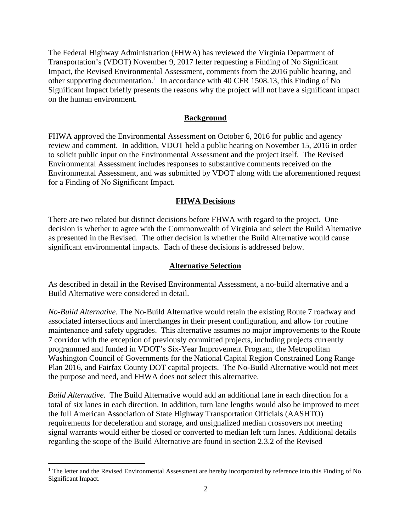The Federal Highway Administration (FHWA) has reviewed the Virginia Department of Transportation's (VDOT) November 9, 2017 letter requesting a Finding of No Significant Impact, the Revised Environmental Assessment, comments from the 2016 public hearing, and other supporting documentation.<sup>[1](#page-1-0)</sup> In accordance with 40 CFR 1508.13, this Finding of No Significant Impact briefly presents the reasons why the project will not have a significant impact on the human environment.

#### **Background**

FHWA approved the Environmental Assessment on October 6, 2016 for public and agency review and comment. In addition, VDOT held a public hearing on November 15, 2016 in order to solicit public input on the Environmental Assessment and the project itself. The Revised Environmental Assessment includes responses to substantive comments received on the Environmental Assessment, and was submitted by VDOT along with the aforementioned request for a Finding of No Significant Impact.

#### **FHWA Decisions**

There are two related but distinct decisions before FHWA with regard to the project. One decision is whether to agree with the Commonwealth of Virginia and select the Build Alternative as presented in the Revised. The other decision is whether the Build Alternative would cause significant environmental impacts. Each of these decisions is addressed below.

#### **Alternative Selection**

As described in detail in the Revised Environmental Assessment, a no-build alternative and a Build Alternative were considered in detail.

*No-Build Alternative*. The No-Build Alternative would retain the existing Route 7 roadway and associated intersections and interchanges in their present configuration, and allow for routine maintenance and safety upgrades. This alternative assumes no major improvements to the Route 7 corridor with the exception of previously committed projects, including projects currently programmed and funded in VDOT's Six-Year Improvement Program, the Metropolitan Washington Council of Governments for the National Capital Region Constrained Long Range Plan 2016, and Fairfax County DOT capital projects. The No-Build Alternative would not meet the purpose and need, and FHWA does not select this alternative.

*Build Alternative*. The Build Alternative would add an additional lane in each direction for a total of six lanes in each direction. In addition, turn lane lengths would also be improved to meet the full American Association of State Highway Transportation Officials (AASHTO) requirements for deceleration and storage, and unsignalized median crossovers not meeting signal warrants would either be closed or converted to median left turn lanes. Additional details regarding the scope of the Build Alternative are found in section 2.3.2 of the Revised

<span id="page-1-0"></span> $1$  The letter and the Revised Environmental Assessment are hereby incorporated by reference into this Finding of No Significant Impact.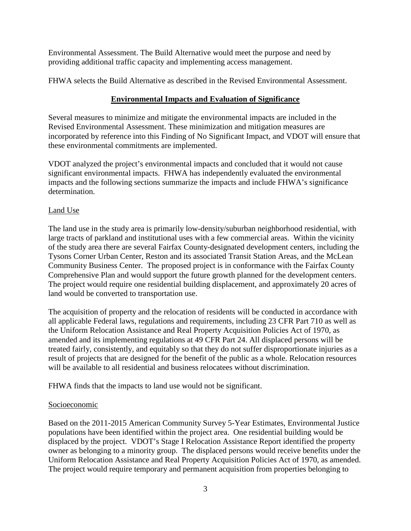Environmental Assessment. The Build Alternative would meet the purpose and need by providing additional traffic capacity and implementing access management.

FHWA selects the Build Alternative as described in the Revised Environmental Assessment.

# **Environmental Impacts and Evaluation of Significance**

Several measures to minimize and mitigate the environmental impacts are included in the Revised Environmental Assessment. These minimization and mitigation measures are incorporated by reference into this Finding of No Significant Impact, and VDOT will ensure that these environmental commitments are implemented.

VDOT analyzed the project's environmental impacts and concluded that it would not cause significant environmental impacts. FHWA has independently evaluated the environmental impacts and the following sections summarize the impacts and include FHWA's significance determination.

# Land Use

The land use in the study area is primarily low-density/suburban neighborhood residential, with large tracts of parkland and institutional uses with a few commercial areas. Within the vicinity of the study area there are several Fairfax County-designated development centers, including the Tysons Corner Urban Center, Reston and its associated Transit Station Areas, and the McLean Community Business Center. The proposed project is in conformance with the Fairfax County Comprehensive Plan and would support the future growth planned for the development centers. The project would require one residential building displacement, and approximately 20 acres of land would be converted to transportation use.

The acquisition of property and the relocation of residents will be conducted in accordance with all applicable Federal laws, regulations and requirements, including 23 CFR Part 710 as well as the Uniform Relocation Assistance and Real Property Acquisition Policies Act of 1970, as amended and its implementing regulations at 49 CFR Part 24. All displaced persons will be treated fairly, consistently, and equitably so that they do not suffer disproportionate injuries as a result of projects that are designed for the benefit of the public as a whole. Relocation resources will be available to all residential and business relocatees without discrimination.

FHWA finds that the impacts to land use would not be significant.

## Socioeconomic

Based on the 2011-2015 American Community Survey 5-Year Estimates, Environmental Justice populations have been identified within the project area. One residential building would be displaced by the project. VDOT's Stage I Relocation Assistance Report identified the property owner as belonging to a minority group. The displaced persons would receive benefits under the Uniform Relocation Assistance and Real Property Acquisition Policies Act of 1970, as amended. The project would require temporary and permanent acquisition from properties belonging to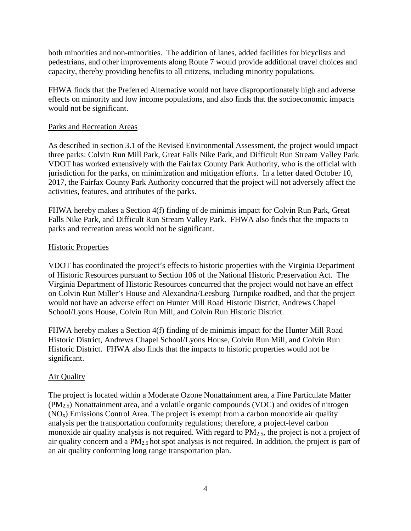both minorities and non-minorities. The addition of lanes, added facilities for bicyclists and pedestrians, and other improvements along Route 7 would provide additional travel choices and capacity, thereby providing benefits to all citizens, including minority populations.

FHWA finds that the Preferred Alternative would not have disproportionately high and adverse effects on minority and low income populations, and also finds that the socioeconomic impacts would not be significant.

## Parks and Recreation Areas

As described in section 3.1 of the Revised Environmental Assessment, the project would impact three parks: Colvin Run Mill Park, Great Falls Nike Park, and Difficult Run Stream Valley Park. VDOT has worked extensively with the Fairfax County Park Authority, who is the official with jurisdiction for the parks, on minimization and mitigation efforts. In a letter dated October 10, 2017, the Fairfax County Park Authority concurred that the project will not adversely affect the activities, features, and attributes of the parks.

FHWA hereby makes a Section 4(f) finding of de minimis impact for Colvin Run Park, Great Falls Nike Park, and Difficult Run Stream Valley Park. FHWA also finds that the impacts to parks and recreation areas would not be significant.

### Historic Properties

VDOT has coordinated the project's effects to historic properties with the Virginia Department of Historic Resources pursuant to Section 106 of the National Historic Preservation Act. The Virginia Department of Historic Resources concurred that the project would not have an effect on Colvin Run Miller's House and Alexandria/Leesburg Turnpike roadbed, and that the project would not have an adverse effect on Hunter Mill Road Historic District, Andrews Chapel School/Lyons House, Colvin Run Mill, and Colvin Run Historic District.

FHWA hereby makes a Section 4(f) finding of de minimis impact for the Hunter Mill Road Historic District, Andrews Chapel School/Lyons House, Colvin Run Mill, and Colvin Run Historic District. FHWA also finds that the impacts to historic properties would not be significant.

## Air Quality

The project is located within a Moderate Ozone Nonattainment area, a Fine Particulate Matter (PM2.5) Nonattainment area, and a volatile organic compounds (VOC) and oxides of nitrogen  $(NO<sub>x</sub>)$  Emissions Control Area. The project is exempt from a carbon monoxide air quality analysis per the transportation conformity regulations; therefore, a project-level carbon monoxide air quality analysis is not required. With regard to PM2.5, the project is not a project of air quality concern and a PM2.5 hot spot analysis is not required. In addition, the project is part of an air quality conforming long range transportation plan.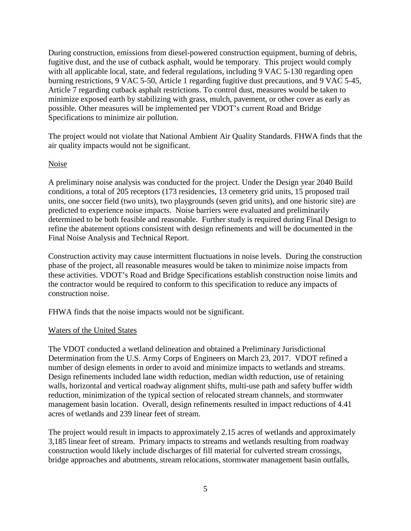During construction, emissions from diesel-powered construction equipment, burning of debris, fugitive dust, and the use of cutback asphalt, would be temporary. This project would comply with all applicable local, state, and federal regulations, including 9 VAC 5-130 regarding open burning restrictions, 9 VAC 5-50, Article 1 regarding fugitive dust precautions, and 9 VAC 5-45, Article 7 regarding cutback asphalt restrictions. To control dust, measures would be taken to minimize exposed earth by stabilizing with grass, mulch, pavement, or other cover as early as possible. Other measures will be implemented per VDOT's current Road and Bridge Specifications to minimize air pollution.

The project would not violate that National Ambient Air Quality Standards. FHWA finds that the air quality impacts would not be significant.

### Noise

A preliminary noise analysis was conducted for the project. Under the Design year 2040 Build conditions, a total of 205 receptors (173 residencies, 13 cemetery grid units, 15 proposed trail units, one soccer field (two units), two playgrounds (seven grid units), and one historic site) are predicted to experience noise impacts. Noise barriers were evaluated and preliminarily determined to be both feasible and reasonable. Further study is required during Final Design to refine the abatement options consistent with design refinements and will be documented in the Final Noise Analysis and Technical Report.

Construction activity may cause intermittent fluctuations in noise levels. During the construction phase of the project, all reasonable measures would be taken to minimize noise impacts from these activities. VDOT's Road and Bridge Specifications establish construction noise limits and the contractor would be required to conform to this specification to reduce any impacts of construction noise.

FHWA finds that the noise impacts would not be significant.

# Waters of the United States

The VDOT conducted a wetland delineation and obtained a Preliminary Jurisdictional Determination from the U.S. Army Corps of Engineers on March 23, 2017. VDOT refined a number of design elements in order to avoid and minimize impacts to wetlands and streams. Design refinements included lane width reduction, median width reduction, use of retaining walls, horizontal and vertical roadway alignment shifts, multi-use path and safety buffer width reduction, minimization of the typical section of relocated stream channels, and stormwater management basin location. Overall, design refinements resulted in impact reductions of 4.41 acres of wetlands and 239 linear feet of stream.

The project would result in impacts to approximately 2.15 acres of wetlands and approximately 3,185 linear feet of stream. Primary impacts to streams and wetlands resulting from roadway construction would likely include discharges of fill material for culverted stream crossings, bridge approaches and abutments, stream relocations, stormwater management basin outfalls,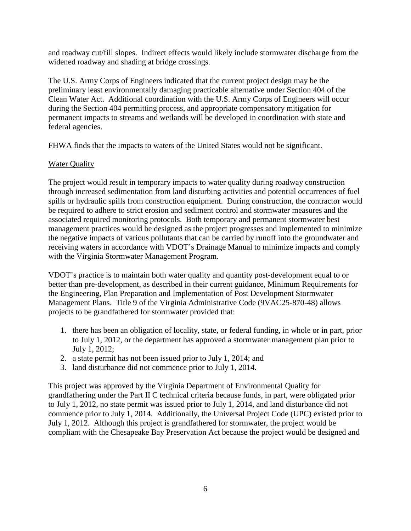and roadway cut/fill slopes. Indirect effects would likely include stormwater discharge from the widened roadway and shading at bridge crossings.

The U.S. Army Corps of Engineers indicated that the current project design may be the preliminary least environmentally damaging practicable alternative under Section 404 of the Clean Water Act. Additional coordination with the U.S. Army Corps of Engineers will occur during the Section 404 permitting process, and appropriate compensatory mitigation for permanent impacts to streams and wetlands will be developed in coordination with state and federal agencies.

FHWA finds that the impacts to waters of the United States would not be significant.

# Water Quality

The project would result in temporary impacts to water quality during roadway construction through increased sedimentation from land disturbing activities and potential occurrences of fuel spills or hydraulic spills from construction equipment. During construction, the contractor would be required to adhere to strict erosion and sediment control and stormwater measures and the associated required monitoring protocols. Both temporary and permanent stormwater best management practices would be designed as the project progresses and implemented to minimize the negative impacts of various pollutants that can be carried by runoff into the groundwater and receiving waters in accordance with VDOT's Drainage Manual to minimize impacts and comply with the Virginia Stormwater Management Program.

VDOT's practice is to maintain both water quality and quantity post-development equal to or better than pre-development, as described in their current guidance, Minimum Requirements for the Engineering, Plan Preparation and Implementation of Post Development Stormwater Management Plans. Title 9 of the Virginia Administrative Code (9VAC25-870-48) allows projects to be grandfathered for stormwater provided that:

- 1. there has been an obligation of locality, state, or federal funding, in whole or in part, prior to July 1, 2012, or the department has approved a stormwater management plan prior to July 1, 2012;
- 2. a state permit has not been issued prior to July 1, 2014; and
- 3. land disturbance did not commence prior to July 1, 2014.

This project was approved by the Virginia Department of Environmental Quality for grandfathering under the Part II C technical criteria because funds, in part, were obligated prior to July 1, 2012, no state permit was issued prior to July 1, 2014, and land disturbance did not commence prior to July 1, 2014. Additionally, the Universal Project Code (UPC) existed prior to July 1, 2012. Although this project is grandfathered for stormwater, the project would be compliant with the Chesapeake Bay Preservation Act because the project would be designed and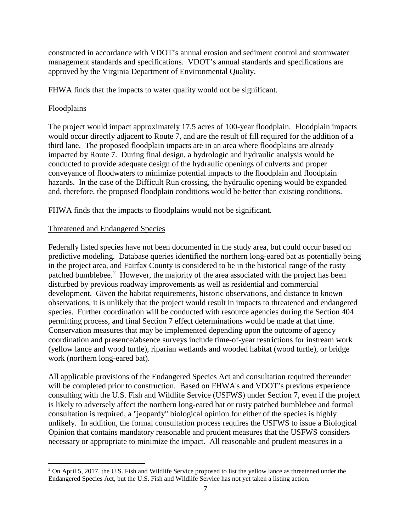constructed in accordance with VDOT's annual erosion and sediment control and stormwater management standards and specifications. VDOT's annual standards and specifications are approved by the Virginia Department of Environmental Quality.

FHWA finds that the impacts to water quality would not be significant.

# **Floodplains**

The project would impact approximately 17.5 acres of 100-year floodplain. Floodplain impacts would occur directly adjacent to Route 7, and are the result of fill required for the addition of a third lane. The proposed floodplain impacts are in an area where floodplains are already impacted by Route 7. During final design, a hydrologic and hydraulic analysis would be conducted to provide adequate design of the hydraulic openings of culverts and proper conveyance of floodwaters to minimize potential impacts to the floodplain and floodplain hazards. In the case of the Difficult Run crossing, the hydraulic opening would be expanded and, therefore, the proposed floodplain conditions would be better than existing conditions.

FHWA finds that the impacts to floodplains would not be significant.

# Threatened and Endangered Species

Federally listed species have not been documented in the study area, but could occur based on predictive modeling. Database queries identified the northern long-eared bat as potentially being in the project area, and Fairfax County is considered to be in the historical range of the rusty patched bumblebee.<sup>[2](#page-6-0)</sup> However, the majority of the area associated with the project has been disturbed by previous roadway improvements as well as residential and commercial development. Given the habitat requirements, historic observations, and distance to known observations, it is unlikely that the project would result in impacts to threatened and endangered species. Further coordination will be conducted with resource agencies during the Section 404 permitting process, and final Section 7 effect determinations would be made at that time. Conservation measures that may be implemented depending upon the outcome of agency coordination and presence/absence surveys include time-of-year restrictions for instream work (yellow lance and wood turtle), riparian wetlands and wooded habitat (wood turtle), or bridge work (northern long-eared bat).

All applicable provisions of the Endangered Species Act and consultation required thereunder will be completed prior to construction. Based on FHWA's and VDOT's previous experience consulting with the U.S. Fish and Wildlife Service (USFWS) under Section 7, even if the project is likely to adversely affect the northern long-eared bat or rusty patched bumblebee and formal consultation is required, a "jeopardy" biological opinion for either of the species is highly unlikely. In addition, the formal consultation process requires the USFWS to issue a Biological Opinion that contains mandatory reasonable and prudent measures that the USFWS considers necessary or appropriate to minimize the impact. All reasonable and prudent measures in a

<span id="page-6-0"></span> $2$  On April 5, 2017, the U.S. Fish and Wildlife Service proposed to list the yellow lance as threatened under the Endangered Species Act, but the U.S. Fish and Wildlife Service has not yet taken a listing action.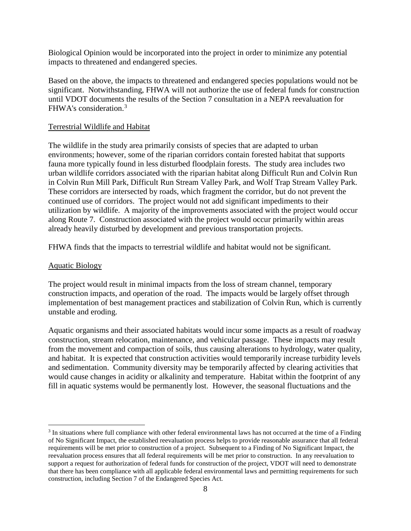Biological Opinion would be incorporated into the project in order to minimize any potential impacts to threatened and endangered species.

Based on the above, the impacts to threatened and endangered species populations would not be significant. Notwithstanding, FHWA will not authorize the use of federal funds for construction until VDOT documents the results of the Section 7 consultation in a NEPA reevaluation for FHWA's consideration.[3](#page-7-0)

### Terrestrial Wildlife and Habitat

The wildlife in the study area primarily consists of species that are adapted to urban environments; however, some of the riparian corridors contain forested habitat that supports fauna more typically found in less disturbed floodplain forests. The study area includes two urban wildlife corridors associated with the riparian habitat along Difficult Run and Colvin Run in Colvin Run Mill Park, Difficult Run Stream Valley Park, and Wolf Trap Stream Valley Park. These corridors are intersected by roads, which fragment the corridor, but do not prevent the continued use of corridors. The project would not add significant impediments to their utilization by wildlife. A majority of the improvements associated with the project would occur along Route 7. Construction associated with the project would occur primarily within areas already heavily disturbed by development and previous transportation projects.

FHWA finds that the impacts to terrestrial wildlife and habitat would not be significant.

#### Aquatic Biology

The project would result in minimal impacts from the loss of stream channel, temporary construction impacts, and operation of the road. The impacts would be largely offset through implementation of best management practices and stabilization of Colvin Run, which is currently unstable and eroding.

Aquatic organisms and their associated habitats would incur some impacts as a result of roadway construction, stream relocation, maintenance, and vehicular passage. These impacts may result from the movement and compaction of soils, thus causing alterations to hydrology, water quality, and habitat. It is expected that construction activities would temporarily increase turbidity levels and sedimentation. Community diversity may be temporarily affected by clearing activities that would cause changes in acidity or alkalinity and temperature. Habitat within the footprint of any fill in aquatic systems would be permanently lost. However, the seasonal fluctuations and the

<span id="page-7-0"></span> <sup>3</sup> In situations where full compliance with other federal environmental laws has not occurred at the time of a Finding of No Significant Impact, the established reevaluation process helps to provide reasonable assurance that all federal requirements will be met prior to construction of a project. Subsequent to a Finding of No Significant Impact, the reevaluation process ensures that all federal requirements will be met prior to construction. In any reevaluation to support a request for authorization of federal funds for construction of the project, VDOT will need to demonstrate that there has been compliance with all applicable federal environmental laws and permitting requirements for such construction, including Section 7 of the Endangered Species Act.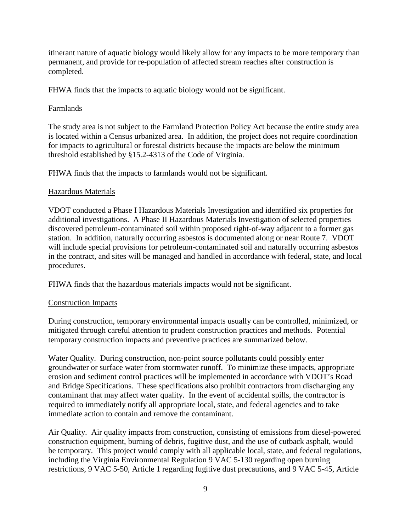itinerant nature of aquatic biology would likely allow for any impacts to be more temporary than permanent, and provide for re-population of affected stream reaches after construction is completed.

FHWA finds that the impacts to aquatic biology would not be significant.

## Farmlands

The study area is not subject to the Farmland Protection Policy Act because the entire study area is located within a Census urbanized area. In addition, the project does not require coordination for impacts to agricultural or forestal districts because the impacts are below the minimum threshold established by §15.2-4313 of the Code of Virginia.

FHWA finds that the impacts to farmlands would not be significant.

# Hazardous Materials

VDOT conducted a Phase I Hazardous Materials Investigation and identified six properties for additional investigations. A Phase II Hazardous Materials Investigation of selected properties discovered petroleum-contaminated soil within proposed right-of-way adjacent to a former gas station. In addition, naturally occurring asbestos is documented along or near Route 7. VDOT will include special provisions for petroleum-contaminated soil and naturally occurring asbestos in the contract, and sites will be managed and handled in accordance with federal, state, and local procedures.

FHWA finds that the hazardous materials impacts would not be significant.

## Construction Impacts

During construction, temporary environmental impacts usually can be controlled, minimized, or mitigated through careful attention to prudent construction practices and methods. Potential temporary construction impacts and preventive practices are summarized below.

Water Quality. During construction, non-point source pollutants could possibly enter groundwater or surface water from stormwater runoff. To minimize these impacts, appropriate erosion and sediment control practices will be implemented in accordance with VDOT's Road and Bridge Specifications. These specifications also prohibit contractors from discharging any contaminant that may affect water quality. In the event of accidental spills, the contractor is required to immediately notify all appropriate local, state, and federal agencies and to take immediate action to contain and remove the contaminant.

Air Quality. Air quality impacts from construction, consisting of emissions from diesel-powered construction equipment, burning of debris, fugitive dust, and the use of cutback asphalt, would be temporary. This project would comply with all applicable local, state, and federal regulations, including the Virginia Environmental Regulation 9 VAC 5-130 regarding open burning restrictions, 9 VAC 5-50, Article 1 regarding fugitive dust precautions, and 9 VAC 5-45, Article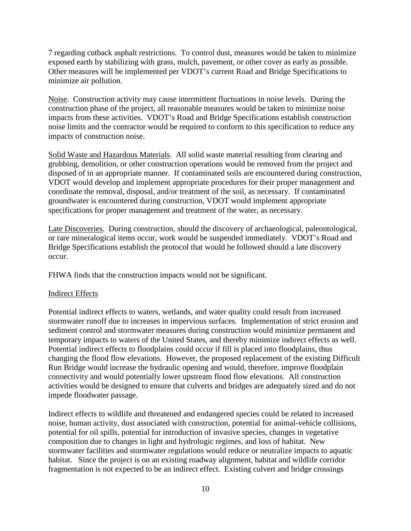7 regarding cutback asphalt restrictions. To control dust, measures would be taken to minimize exposed earth by stabilizing with grass, mulch, pavement, or other cover as early as possible. Other measures will be implemented per VDOT's current Road and Bridge Specifications to minimize air pollution.

Noise. Construction activity may cause intermittent fluctuations in noise levels. During the construction phase of the project, all reasonable measures would be taken to minimize noise impacts from these activities. VDOT's Road and Bridge Specifications establish construction noise limits and the contractor would be required to conform to this specification to reduce any impacts of construction noise.

Solid Waste and Hazardous Materials. All solid waste material resulting from clearing and grubbing, demolition, or other construction operations would be removed from the project and disposed of in an appropriate manner. If contaminated soils are encountered during construction, VDOT would develop and implement appropriate procedures for their proper management and coordinate the removal, disposal, and/or treatment of the soil, as necessary. If contaminated groundwater is encountered during construction, VDOT would implement appropriate specifications for proper management and treatment of the water, as necessary.

Late Discoveries. During construction, should the discovery of archaeological, paleontological, or rare mineralogical items occur, work would be suspended immediately. VDOT's Road and Bridge Specifications establish the protocol that would be followed should a late discovery occur.

FHWA finds that the construction impacts would not be significant.

#### Indirect Effects

Potential indirect effects to waters, wetlands, and water quality could result from increased stormwater runoff due to increases in impervious surfaces. Implementation of strict erosion and sediment control and stormwater measures during construction would minimize permanent and temporary impacts to waters of the United States, and thereby minimize indirect effects as well. Potential indirect effects to floodplains could occur if fill is placed into floodplains, thus changing the flood flow elevations. However, the proposed replacement of the existing Difficult Run Bridge would increase the hydraulic opening and would, therefore, improve floodplain connectivity and would potentially lower upstream flood flow elevations. All construction activities would be designed to ensure that culverts and bridges are adequately sized and do not impede floodwater passage.

Indirect effects to wildlife and threatened and endangered species could be related to increased noise, human activity, dust associated with construction, potential for animal-vehicle collisions, potential for oil spills, potential for introduction of invasive species, changes in vegetative composition due to changes in light and hydrologic regimes, and loss of habitat. New stormwater facilities and stormwater regulations would reduce or neutralize impacts to aquatic habitat. Since the project is on an existing roadway alignment, habitat and wildlife corridor fragmentation is not expected to be an indirect effect. Existing culvert and bridge crossings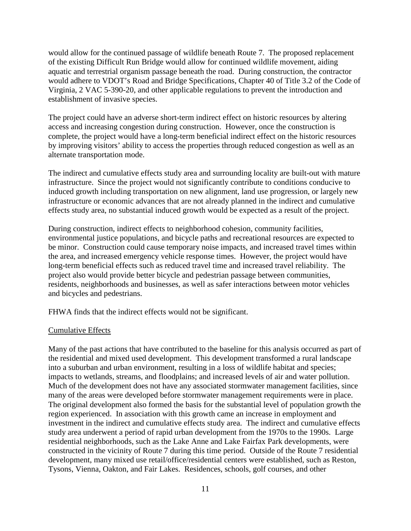would allow for the continued passage of wildlife beneath Route 7. The proposed replacement of the existing Difficult Run Bridge would allow for continued wildlife movement, aiding aquatic and terrestrial organism passage beneath the road. During construction, the contractor would adhere to VDOT's Road and Bridge Specifications, Chapter 40 of Title 3.2 of the Code of Virginia, 2 VAC 5-390-20, and other applicable regulations to prevent the introduction and establishment of invasive species.

The project could have an adverse short-term indirect effect on historic resources by altering access and increasing congestion during construction. However, once the construction is complete, the project would have a long-term beneficial indirect effect on the historic resources by improving visitors' ability to access the properties through reduced congestion as well as an alternate transportation mode.

The indirect and cumulative effects study area and surrounding locality are built-out with mature infrastructure. Since the project would not significantly contribute to conditions conducive to induced growth including transportation on new alignment, land use progression, or largely new infrastructure or economic advances that are not already planned in the indirect and cumulative effects study area, no substantial induced growth would be expected as a result of the project.

During construction, indirect effects to neighborhood cohesion, community facilities, environmental justice populations, and bicycle paths and recreational resources are expected to be minor. Construction could cause temporary noise impacts, and increased travel times within the area, and increased emergency vehicle response times. However, the project would have long-term beneficial effects such as reduced travel time and increased travel reliability. The project also would provide better bicycle and pedestrian passage between communities, residents, neighborhoods and businesses, as well as safer interactions between motor vehicles and bicycles and pedestrians.

FHWA finds that the indirect effects would not be significant.

#### Cumulative Effects

Many of the past actions that have contributed to the baseline for this analysis occurred as part of the residential and mixed used development. This development transformed a rural landscape into a suburban and urban environment, resulting in a loss of wildlife habitat and species; impacts to wetlands, streams, and floodplains; and increased levels of air and water pollution. Much of the development does not have any associated stormwater management facilities, since many of the areas were developed before stormwater management requirements were in place. The original development also formed the basis for the substantial level of population growth the region experienced. In association with this growth came an increase in employment and investment in the indirect and cumulative effects study area. The indirect and cumulative effects study area underwent a period of rapid urban development from the 1970s to the 1990s. Large residential neighborhoods, such as the Lake Anne and Lake Fairfax Park developments, were constructed in the vicinity of Route 7 during this time period. Outside of the Route 7 residential development, many mixed use retail/office/residential centers were established, such as Reston, Tysons, Vienna, Oakton, and Fair Lakes. Residences, schools, golf courses, and other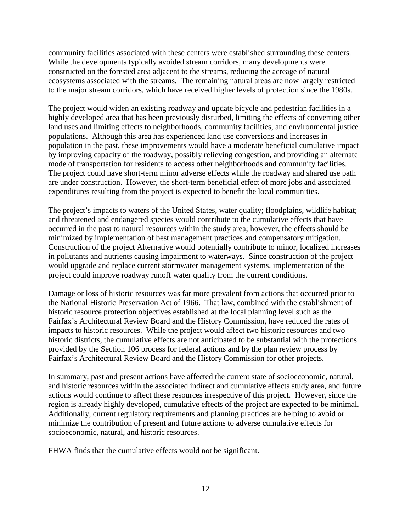community facilities associated with these centers were established surrounding these centers. While the developments typically avoided stream corridors, many developments were constructed on the forested area adjacent to the streams, reducing the acreage of natural ecosystems associated with the streams. The remaining natural areas are now largely restricted to the major stream corridors, which have received higher levels of protection since the 1980s.

The project would widen an existing roadway and update bicycle and pedestrian facilities in a highly developed area that has been previously disturbed, limiting the effects of converting other land uses and limiting effects to neighborhoods, community facilities, and environmental justice populations. Although this area has experienced land use conversions and increases in population in the past, these improvements would have a moderate beneficial cumulative impact by improving capacity of the roadway, possibly relieving congestion, and providing an alternate mode of transportation for residents to access other neighborhoods and community facilities. The project could have short-term minor adverse effects while the roadway and shared use path are under construction. However, the short-term beneficial effect of more jobs and associated expenditures resulting from the project is expected to benefit the local communities.

The project's impacts to waters of the United States, water quality; floodplains, wildlife habitat; and threatened and endangered species would contribute to the cumulative effects that have occurred in the past to natural resources within the study area; however, the effects should be minimized by implementation of best management practices and compensatory mitigation. Construction of the project Alternative would potentially contribute to minor, localized increases in pollutants and nutrients causing impairment to waterways. Since construction of the project would upgrade and replace current stormwater management systems, implementation of the project could improve roadway runoff water quality from the current conditions.

Damage or loss of historic resources was far more prevalent from actions that occurred prior to the National Historic Preservation Act of 1966. That law, combined with the establishment of historic resource protection objectives established at the local planning level such as the Fairfax's Architectural Review Board and the History Commission, have reduced the rates of impacts to historic resources. While the project would affect two historic resources and two historic districts, the cumulative effects are not anticipated to be substantial with the protections provided by the Section 106 process for federal actions and by the plan review process by Fairfax's Architectural Review Board and the History Commission for other projects.

In summary, past and present actions have affected the current state of socioeconomic, natural, and historic resources within the associated indirect and cumulative effects study area, and future actions would continue to affect these resources irrespective of this project. However, since the region is already highly developed, cumulative effects of the project are expected to be minimal. Additionally, current regulatory requirements and planning practices are helping to avoid or minimize the contribution of present and future actions to adverse cumulative effects for socioeconomic, natural, and historic resources.

FHWA finds that the cumulative effects would not be significant.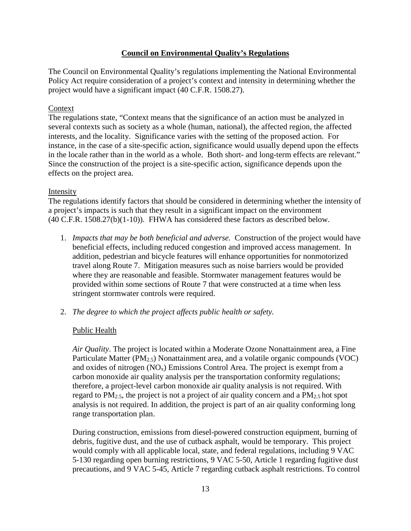# **Council on Environmental Quality's Regulations**

The Council on Environmental Quality's regulations implementing the National Environmental Policy Act require consideration of a project's context and intensity in determining whether the project would have a significant impact (40 C.F.R. 1508.27).

## Context

The regulations state, "Context means that the significance of an action must be analyzed in several contexts such as society as a whole (human, national), the affected region, the affected interests, and the locality. Significance varies with the setting of the proposed action. For instance, in the case of a site-specific action, significance would usually depend upon the effects in the locale rather than in the world as a whole. Both short- and long-term effects are relevant." Since the construction of the project is a site-specific action, significance depends upon the effects on the project area.

### Intensity

The regulations identify factors that should be considered in determining whether the intensity of a project's impacts is such that they result in a significant impact on the environment (40 C.F.R. 1508.27(b)(1-10)). FHWA has considered these factors as described below.

- 1. *Impacts that may be both beneficial and adverse.* Construction of the project would have beneficial effects, including reduced congestion and improved access management. In addition, pedestrian and bicycle features will enhance opportunities for nonmotorized travel along Route 7. Mitigation measures such as noise barriers would be provided where they are reasonable and feasible. Stormwater management features would be provided within some sections of Route 7 that were constructed at a time when less stringent stormwater controls were required.
- 2. *The degree to which the project affects public health or safety.*

## Public Health

*Air Quality*. The project is located within a Moderate Ozone Nonattainment area, a Fine Particulate Matter (PM<sub>2.5</sub>) Nonattainment area, and a volatile organic compounds (VOC) and oxides of nitrogen  $(NO_x)$  Emissions Control Area. The project is exempt from a carbon monoxide air quality analysis per the transportation conformity regulations; therefore, a project-level carbon monoxide air quality analysis is not required. With regard to  $PM_{2.5}$ , the project is not a project of air quality concern and a  $PM_{2.5}$  hot spot analysis is not required. In addition, the project is part of an air quality conforming long range transportation plan.

During construction, emissions from diesel-powered construction equipment, burning of debris, fugitive dust, and the use of cutback asphalt, would be temporary. This project would comply with all applicable local, state, and federal regulations, including 9 VAC 5-130 regarding open burning restrictions, 9 VAC 5-50, Article 1 regarding fugitive dust precautions, and 9 VAC 5-45, Article 7 regarding cutback asphalt restrictions. To control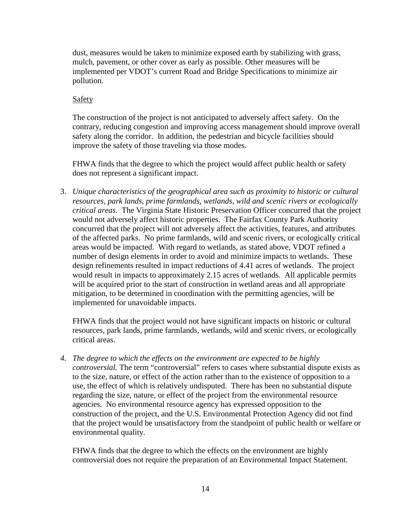dust, measures would be taken to minimize exposed earth by stabilizing with grass, mulch, pavement, or other cover as early as possible. Other measures will be implemented per VDOT's current Road and Bridge Specifications to minimize air pollution.

### Safety

The construction of the project is not anticipated to adversely affect safety. On the contrary, reducing congestion and improving access management should improve overall safety along the corridor. In addition, the pedestrian and bicycle facilities should improve the safety of those traveling via those modes.

FHWA finds that the degree to which the project would affect public health or safety does not represent a significant impact.

3. *Unique characteristics of the geographical area such as proximity to historic or cultural resources, park lands, prime farmlands, wetlands, wild and scenic rivers or ecologically critical areas.* The Virginia State Historic Preservation Officer concurred that the project would not adversely affect historic properties. The Fairfax County Park Authority concurred that the project will not adversely affect the activities, features, and attributes of the affected parks. No prime farmlands, wild and scenic rivers, or ecologically critical areas would be impacted. With regard to wetlands, as stated above, VDOT refined a number of design elements in order to avoid and minimize impacts to wetlands. These design refinements resulted in impact reductions of 4.41 acres of wetlands. The project would result in impacts to approximately 2.15 acres of wetlands. All applicable permits will be acquired prior to the start of construction in wetland areas and all appropriate mitigation, to be determined in coordination with the permitting agencies, will be implemented for unavoidable impacts.

FHWA finds that the project would not have significant impacts on historic or cultural resources, park lands, prime farmlands, wetlands, wild and scenic rivers, or ecologically critical areas.

*4. The degree to which the effects on the environment are expected to be highly controversial.* The term "controversial" refers to cases where substantial dispute exists as to the size, nature, or effect of the action rather than to the existence of opposition to a use, the effect of which is relatively undisputed. There has been no substantial dispute regarding the size, nature, or effect of the project from the environmental resource agencies. No environmental resource agency has expressed opposition to the construction of the project, and the U.S. Environmental Protection Agency did not find that the project would be unsatisfactory from the standpoint of public health or welfare or environmental quality.

FHWA finds that the degree to which the effects on the environment are highly controversial does not require the preparation of an Environmental Impact Statement.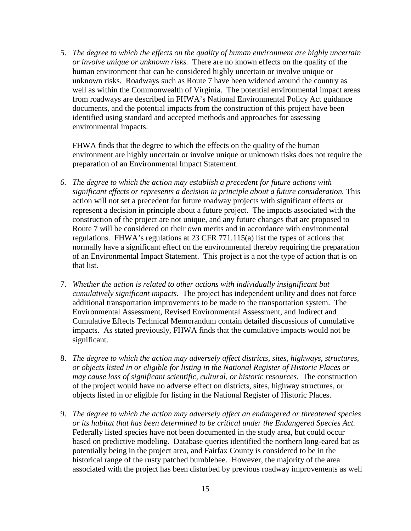5. *The degree to which the effects on the quality of human environment are highly uncertain or involve unique or unknown risks.* There are no known effects on the quality of the human environment that can be considered highly uncertain or involve unique or unknown risks. Roadways such as Route 7 have been widened around the country as well as within the Commonwealth of Virginia. The potential environmental impact areas from roadways are described in FHWA's National Environmental Policy Act guidance documents, and the potential impacts from the construction of this project have been identified using standard and accepted methods and approaches for assessing environmental impacts.

FHWA finds that the degree to which the effects on the quality of the human environment are highly uncertain or involve unique or unknown risks does not require the preparation of an Environmental Impact Statement.

- *6. The degree to which the action may establish a precedent for future actions with significant effects or represents a decision in principle about a future consideration.* This action will not set a precedent for future roadway projects with significant effects or represent a decision in principle about a future project. The impacts associated with the construction of the project are not unique, and any future changes that are proposed to Route 7 will be considered on their own merits and in accordance with environmental regulations.FHWA's regulations at 23 CFR 771.115(a) list the types of actions that normally have a significant effect on the environmental thereby requiring the preparation of an Environmental Impact Statement. This project is a not the type of action that is on that list.
- 7. *Whether the action is related to other actions with individually insignificant but cumulatively significant impacts.* The project has independent utility and does not force additional transportation improvements to be made to the transportation system. The Environmental Assessment, Revised Environmental Assessment, and Indirect and Cumulative Effects Technical Memorandum contain detailed discussions of cumulative impacts. As stated previously, FHWA finds that the cumulative impacts would not be significant.
- 8. *The degree to which the action may adversely affect districts, sites, highways, structures, or objects listed in or eligible for listing in the National Register of Historic Places or may cause loss of significant scientific, cultural, or historic resources.* The construction of the project would have no adverse effect on districts, sites, highway structures, or objects listed in or eligible for listing in the National Register of Historic Places.
- 9. *The degree to which the action may adversely affect an endangered or threatened species or its habitat that has been determined to be critical under the Endangered Species Act.* Federally listed species have not been documented in the study area, but could occur based on predictive modeling. Database queries identified the northern long-eared bat as potentially being in the project area, and Fairfax County is considered to be in the historical range of the rusty patched bumblebee. However, the majority of the area associated with the project has been disturbed by previous roadway improvements as well